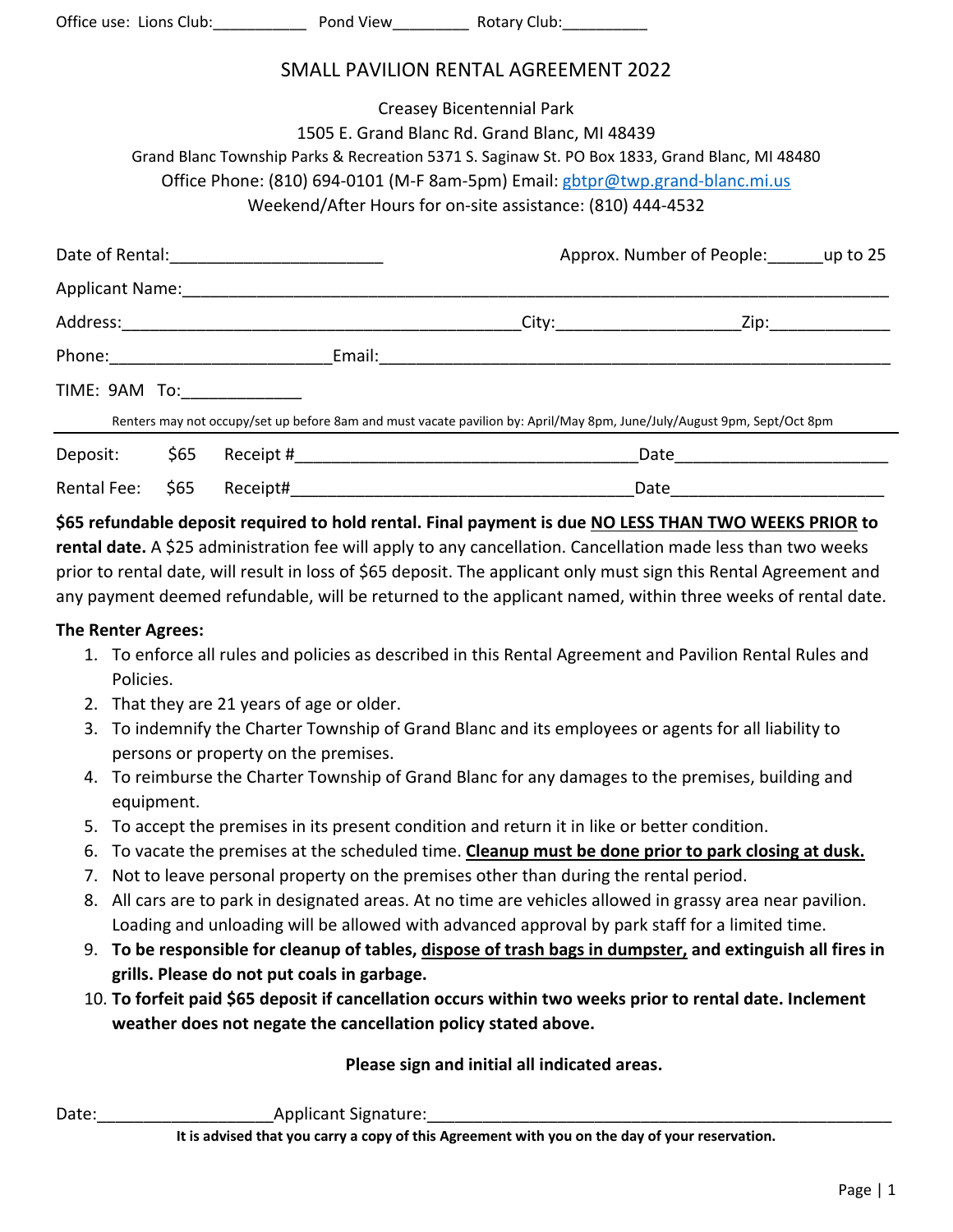Office use: Lions Club:\_\_\_\_\_\_\_\_\_\_\_\_\_\_ Pond View\_\_\_\_\_\_\_\_\_\_\_ Rotary Club:\_\_\_\_\_\_\_\_

#### SMALL PAVILION RENTAL AGREEMENT 2022

|                                                                                                                                                                                 |      |                             | Creasey Bicentennial Park | 1505 E. Grand Blanc Rd. Grand Blanc, MI 48439              |                                                                                                                         |  |  |
|---------------------------------------------------------------------------------------------------------------------------------------------------------------------------------|------|-----------------------------|---------------------------|------------------------------------------------------------|-------------------------------------------------------------------------------------------------------------------------|--|--|
| Grand Blanc Township Parks & Recreation 5371 S. Saginaw St. PO Box 1833, Grand Blanc, MI 48480<br>Office Phone: (810) 694-0101 (M-F 8am-5pm) Email: gbtpr@twp.grand-blanc.mi.us |      |                             |                           |                                                            |                                                                                                                         |  |  |
|                                                                                                                                                                                 |      |                             |                           | Weekend/After Hours for on-site assistance: (810) 444-4532 |                                                                                                                         |  |  |
|                                                                                                                                                                                 |      |                             |                           | Approx. Number of People: up to 25                         |                                                                                                                         |  |  |
|                                                                                                                                                                                 |      |                             |                           |                                                            |                                                                                                                         |  |  |
|                                                                                                                                                                                 |      |                             |                           |                                                            |                                                                                                                         |  |  |
|                                                                                                                                                                                 |      |                             |                           |                                                            |                                                                                                                         |  |  |
|                                                                                                                                                                                 |      | TIME: 9AM To: _____________ |                           |                                                            |                                                                                                                         |  |  |
|                                                                                                                                                                                 |      |                             |                           |                                                            | Renters may not occupy/set up before 8am and must vacate pavilion by: April/May 8pm, June/July/August 9pm, Sept/Oct 8pm |  |  |
| Deposit:                                                                                                                                                                        | \$65 |                             |                           | Date                                                       |                                                                                                                         |  |  |
| Rental Fee:                                                                                                                                                                     | \$65 | Receipt#                    |                           |                                                            | Date                                                                                                                    |  |  |

**\$65 refundable deposit required to hold rental. Final payment is due NO LESS THAN TWO WEEKS PRIOR to**  rental date. A \$25 administration fee will apply to any cancellation. Cancellation made less than two weeks prior to rental date, will result in loss of \$65 deposit. The applicant only must sign this Rental Agreement and any payment deemed refundable, will be returned to the applicant named, within three weeks of rental date.

#### **The Renter Agrees:**

- 1. To enforce all rules and policies as described in this Rental Agreement and Pavilion Rental Rules and Policies.
- 2. That they are 21 years of age or older.
- 3. To indemnify the Charter Township of Grand Blanc and its employees or agents for all liability to persons or property on the premises.
- 4. To reimburse the Charter Township of Grand Blanc for any damages to the premises, building and equipment.
- 5. To accept the premises in its present condition and return it in like or better condition.
- 6. To vacate the premises at the scheduled time. **Cleanup must be done prior to park closing at dusk.**
- 7. Not to leave personal property on the premises other than during the rental period.
- 8. All cars are to park in designated areas. At no time are vehicles allowed in grassy area near pavilion. Loading and unloading will be allowed with advanced approval by park staff for a limited time.
- 9. **To be responsible for cleanup of tables, dispose of trash bags in dumpster, and extinguish all fires in grills. Please do not put coals in garbage.**
- 10. **To forfeit paid \$65 deposit if cancellation occurs within two weeks prior to rental date. Inclement weather does not negate the cancellation policy stated above.**

**Please sign and initial all indicated areas.** 

Date: The Contract of Applicant Signature:

**It is advised that you carry a copy of this Agreement with you on the day of your reservation.**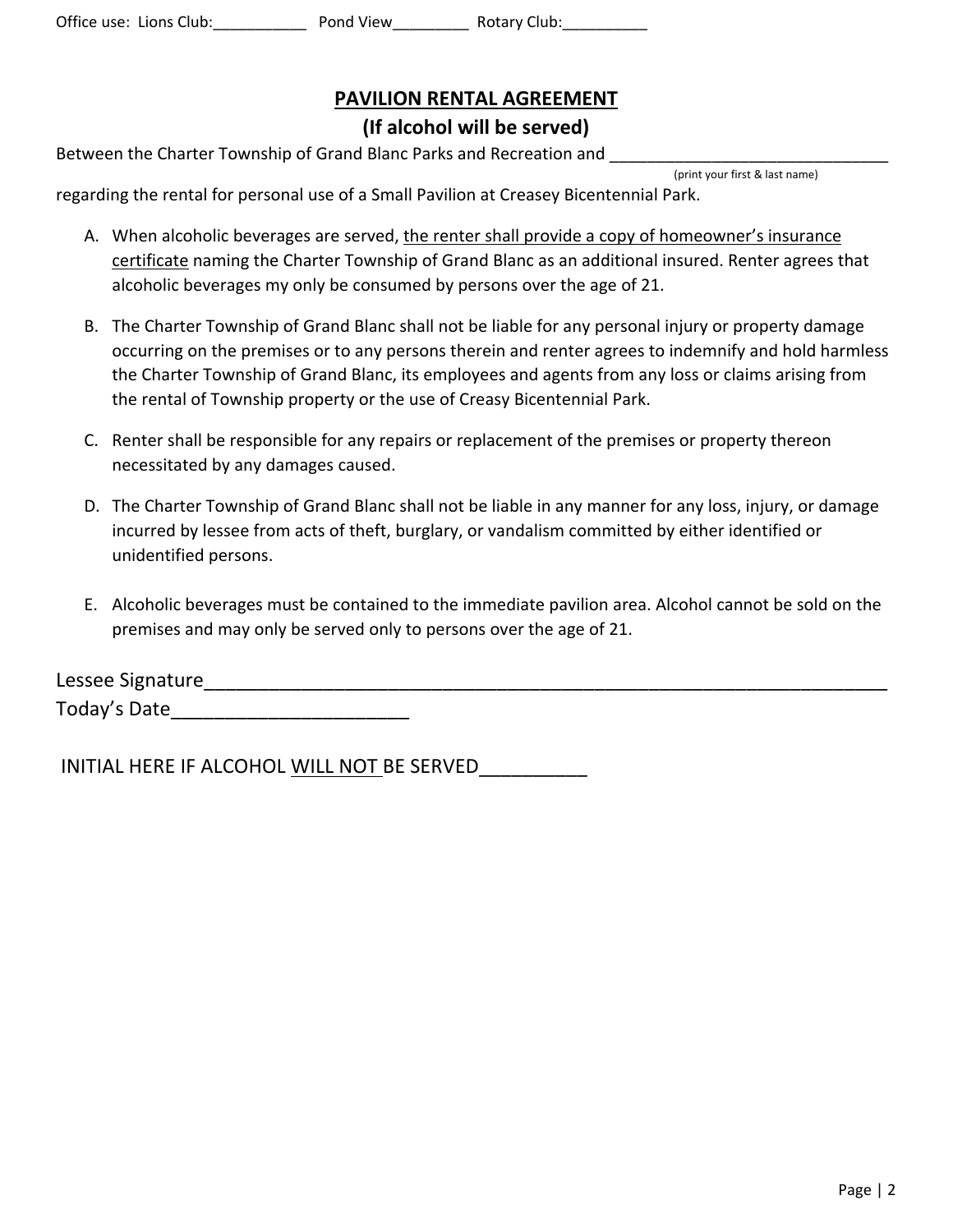# **PAVILION RENTAL AGREEMENT**

### **(If alcohol will be served)**

Between the Charter Township of Grand Blanc Parks and Recreation and

(print your first & last name)

regarding the rental for personal use of a Small Pavilion at Creasey Bicentennial Park.

- A. When alcoholic beverages are served, the renter shall provide a copy of homeowner's insurance certificate naming the Charter Township of Grand Blanc as an additional insured. Renter agrees that alcoholic beverages my only be consumed by persons over the age of 21.
- B. The Charter Township of Grand Blanc shall not be liable for any personal injury or property damage occurring on the premises or to any persons therein and renter agrees to indemnify and hold harmless the Charter Township of Grand Blanc, its employees and agents from any loss or claims arising from the rental of Township property or the use of Creasy Bicentennial Park.
- C. Renter shall be responsible for any repairs or replacement of the premises or property thereon necessitated by any damages caused.
- D. The Charter Township of Grand Blanc shall not be liable in any manner for any loss, injury, or damage incurred by lessee from acts of theft, burglary, or vandalism committed by either identified or unidentified persons.
- E. Alcoholic beverages must be contained to the immediate pavilion area. Alcohol cannot be sold on the premises and may only be served only to persons over the age of 21.

| Lessee Signature |  |  |
|------------------|--|--|
| Today's Date     |  |  |

INITIAL HERE IF ALCOHOL WILL NOT BE SERVED\_\_\_\_\_\_\_\_\_\_